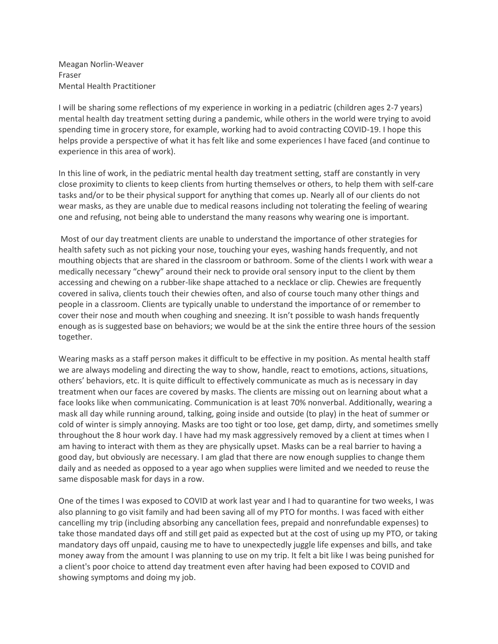Meagan Norlin-Weaver Fraser Mental Health Practitioner

I will be sharing some reflections of my experience in working in a pediatric (children ages 2-7 years) mental health day treatment setting during a pandemic, while others in the world were trying to avoid spending time in grocery store, for example, working had to avoid contracting COVID-19. I hope this helps provide a perspective of what it has felt like and some experiences I have faced (and continue to experience in this area of work).

In this line of work, in the pediatric mental health day treatment setting, staff are constantly in very close proximity to clients to keep clients from hurting themselves or others, to help them with self-care tasks and/or to be their physical support for anything that comes up. Nearly all of our clients do not wear masks, as they are unable due to medical reasons including not tolerating the feeling of wearing one and refusing, not being able to understand the many reasons why wearing one is important.

 Most of our day treatment clients are unable to understand the importance of other strategies for health safety such as not picking your nose, touching your eyes, washing hands frequently, and not mouthing objects that are shared in the classroom or bathroom. Some of the clients I work with wear a medically necessary "chewy" around their neck to provide oral sensory input to the client by them accessing and chewing on a rubber-like shape attached to a necklace or clip. Chewies are frequently covered in saliva, clients touch their chewies often, and also of course touch many other things and people in a classroom. Clients are typically unable to understand the importance of or remember to cover their nose and mouth when coughing and sneezing. It isn't possible to wash hands frequently enough as is suggested base on behaviors; we would be at the sink the entire three hours of the session together.

Wearing masks as a staff person makes it difficult to be effective in my position. As mental health staff we are always modeling and directing the way to show, handle, react to emotions, actions, situations, others' behaviors, etc. It is quite difficult to effectively communicate as much as is necessary in day treatment when our faces are covered by masks. The clients are missing out on learning about what a face looks like when communicating. Communication is at least 70% nonverbal. Additionally, wearing a mask all day while running around, talking, going inside and outside (to play) in the heat of summer or cold of winter is simply annoying. Masks are too tight or too lose, get damp, dirty, and sometimes smelly throughout the 8 hour work day. I have had my mask aggressively removed by a client at times when I am having to interact with them as they are physically upset. Masks can be a real barrier to having a good day, but obviously are necessary. I am glad that there are now enough supplies to change them daily and as needed as opposed to a year ago when supplies were limited and we needed to reuse the same disposable mask for days in a row.

One of the times I was exposed to COVID at work last year and I had to quarantine for two weeks, I was also planning to go visit family and had been saving all of my PTO for months. I was faced with either cancelling my trip (including absorbing any cancellation fees, prepaid and nonrefundable expenses) to take those mandated days off and still get paid as expected but at the cost of using up my PTO, or taking mandatory days off unpaid, causing me to have to unexpectedly juggle life expenses and bills, and take money away from the amount I was planning to use on my trip. It felt a bit like I was being punished for a client's poor choice to attend day treatment even after having had been exposed to COVID and showing symptoms and doing my job.